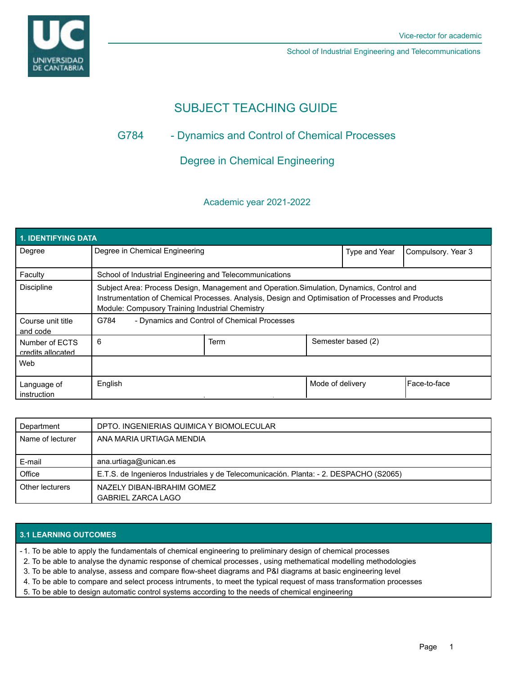

School of Industrial Engineering and Telecommunications

# SUBJECT TEACHING GUIDE

## G784 - Dynamics and Control of Chemical Processes

Degree in Chemical Engineering

## Academic year 2021-2022

| 1. IDENTIFYING DATA                 |                                                                                                                                                                                                                                                    |      |                  |                    |                    |  |  |  |  |
|-------------------------------------|----------------------------------------------------------------------------------------------------------------------------------------------------------------------------------------------------------------------------------------------------|------|------------------|--------------------|--------------------|--|--|--|--|
| Degree                              | Degree in Chemical Engineering                                                                                                                                                                                                                     |      |                  | Type and Year      | Compulsory. Year 3 |  |  |  |  |
| Faculty                             | School of Industrial Engineering and Telecommunications                                                                                                                                                                                            |      |                  |                    |                    |  |  |  |  |
| <b>Discipline</b>                   | Subject Area: Process Design, Management and Operation. Simulation, Dynamics, Control and<br>Instrumentation of Chemical Processes. Analysis, Design and Optimisation of Processes and Products<br>Module: Compusory Training Industrial Chemistry |      |                  |                    |                    |  |  |  |  |
| Course unit title<br>and code       | - Dynamics and Control of Chemical Processes<br>G784                                                                                                                                                                                               |      |                  |                    |                    |  |  |  |  |
| Number of ECTS<br>credits allocated | 6                                                                                                                                                                                                                                                  | Term |                  | Semester based (2) |                    |  |  |  |  |
| Web                                 |                                                                                                                                                                                                                                                    |      |                  |                    |                    |  |  |  |  |
| Language of<br>instruction          | English                                                                                                                                                                                                                                            |      | Mode of delivery |                    | Face-to-face       |  |  |  |  |

| Department       | DPTO. INGENIERIAS QUIMICA Y BIOMOLECULAR                                               |
|------------------|----------------------------------------------------------------------------------------|
| Name of lecturer | ANA MARIA URTIAGA MENDIA                                                               |
|                  |                                                                                        |
| E-mail           | ana.urtiaga@unican.es                                                                  |
| Office           | E.T.S. de Ingenieros Industriales y de Telecomunicación. Planta: - 2. DESPACHO (S2065) |
| Other lecturers  | NAZELY DIBAN-IBRAHIM GOMEZ                                                             |
|                  | <b>GABRIEL ZARCA LAGO</b>                                                              |

## **3.1 LEARNING OUTCOMES**

1. To be able to apply the fundamentals of chemical engineering to preliminary design of chemical processes -

2. To be able to analyse the dynamic response of chemical processes , using methematical modelling methodologies

3. To be able to analyse, assess and compare flow-sheet diagrams and P&I diagrams at basic engineering level

4. To be able to compare and select process intruments, to meet the typical request of mass transformation processes

5. To be able to design automatic control systems according to the needs of chemical engineering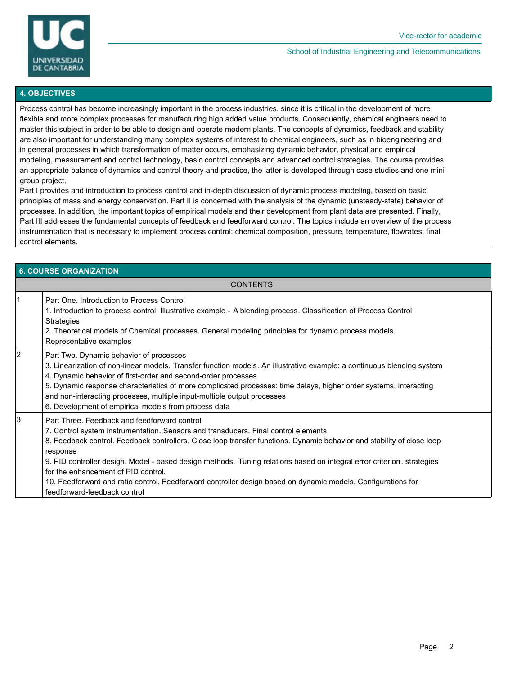

#### School of Industrial Engineering and Telecommunications

#### **4. OBJECTIVES**

Process control has become increasingly important in the process industries, since it is critical in the development of more flexible and more complex processes for manufacturing high added value products. Consequently, chemical engineers need to master this subject in order to be able to design and operate modern plants. The concepts of dynamics, feedback and stability are also important for understanding many complex systems of interest to chemical engineers, such as in bioengineering and in general processes in which transformation of matter occurs, emphasizing dynamic behavior, physical and empirical modeling, measurement and control technology, basic control concepts and advanced control strategies. The course provides an appropriate balance of dynamics and control theory and practice, the latter is developed through case studies and one mini group project.

Part I provides and introduction to process control and in-depth discussion of dynamic process modeling, based on basic principles of mass and energy conservation. Part II is concerned with the analysis of the dynamic (unsteady-state) behavior of processes. In addition, the important topics of empirical models and their development from plant data are presented. Finally, Part III addresses the fundamental concepts of feedback and feedforward control. The topics include an overview of the process instrumentation that is necessary to implement process control: chemical composition, pressure, temperature, flowrates, final control elements.

| <b>6. COURSE ORGANIZATION</b> |                                                                                                                                                                                                                                                                                                                                                                                                                                                                                                                                                                                           |  |  |  |
|-------------------------------|-------------------------------------------------------------------------------------------------------------------------------------------------------------------------------------------------------------------------------------------------------------------------------------------------------------------------------------------------------------------------------------------------------------------------------------------------------------------------------------------------------------------------------------------------------------------------------------------|--|--|--|
| <b>CONTENTS</b>               |                                                                                                                                                                                                                                                                                                                                                                                                                                                                                                                                                                                           |  |  |  |
|                               | Part One. Introduction to Process Control<br>1. Introduction to process control. Illustrative example - A blending process. Classification of Process Control<br><b>Strategies</b><br>2. Theoretical models of Chemical processes. General modeling principles for dynamic process models.<br>Representative examples                                                                                                                                                                                                                                                                     |  |  |  |
| $\overline{2}$                | Part Two. Dynamic behavior of processes<br>3. Linearization of non-linear models. Transfer function models. An illustrative example: a continuous blending system<br>4. Dynamic behavior of first-order and second-order processes<br>5. Dynamic response characteristics of more complicated processes: time delays, higher order systems, interacting<br>and non-interacting processes, multiple input-multiple output processes<br>6. Development of empirical models from process data                                                                                                |  |  |  |
| 3                             | Part Three. Feedback and feedforward control<br>7. Control system instrumentation. Sensors and transducers. Final control elements<br>8. Feedback control. Feedback controllers. Close loop transfer functions. Dynamic behavior and stability of close loop<br>response<br>9. PID controller design. Model - based design methods. Tuning relations based on integral error criterion. strategies<br>for the enhancement of PID control.<br>10. Feedforward and ratio control. Feedforward controller design based on dynamic models. Configurations for<br>feedforward-feedback control |  |  |  |